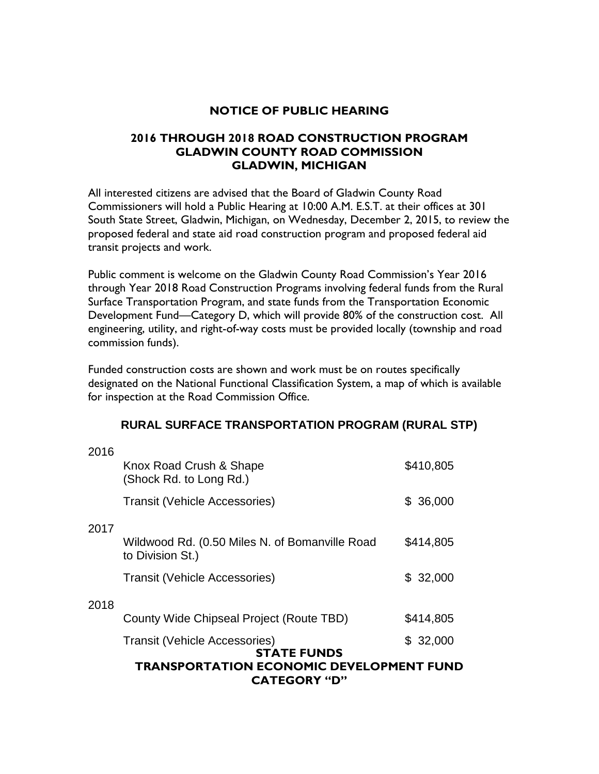### **NOTICE OF PUBLIC HEARING**

### **2016 THROUGH 2018 ROAD CONSTRUCTION PROGRAM GLADWIN COUNTY ROAD COMMISSION GLADWIN, MICHIGAN**

All interested citizens are advised that the Board of Gladwin County Road Commissioners will hold a Public Hearing at 10:00 A.M. E.S.T. at their offices at 301 South State Street, Gladwin, Michigan, on Wednesday, December 2, 2015, to review the proposed federal and state aid road construction program and proposed federal aid transit projects and work.

Public comment is welcome on the Gladwin County Road Commission's Year 2016 through Year 2018 Road Construction Programs involving federal funds from the Rural Surface Transportation Program, and state funds from the Transportation Economic Development Fund—Category D, which will provide 80% of the construction cost. All engineering, utility, and right-of-way costs must be provided locally (township and road commission funds).

Funded construction costs are shown and work must be on routes specifically designated on the National Functional Classification System, a map of which is available for inspection at the Road Commission Office.

### **RURAL SURFACE TRANSPORTATION PROGRAM (RURAL STP)**

|      | <b>TRANSPORTATION ECONOMIC DEVELOPMENT FUND</b><br><b>CATEGORY "D"</b> |           |  |
|------|------------------------------------------------------------------------|-----------|--|
|      | <b>Transit (Vehicle Accessories)</b><br><b>STATE FUNDS</b>             | \$32,000  |  |
|      | County Wide Chipseal Project (Route TBD)                               | \$414,805 |  |
| 2018 | <b>Transit (Vehicle Accessories)</b>                                   | \$32,000  |  |
|      | Wildwood Rd. (0.50 Miles N. of Bomanville Road<br>to Division St.)     | \$414,805 |  |
| 2017 |                                                                        |           |  |
|      | <b>Transit (Vehicle Accessories)</b>                                   | \$36,000  |  |
| 2016 | Knox Road Crush & Shape<br>(Shock Rd. to Long Rd.)                     | \$410,805 |  |